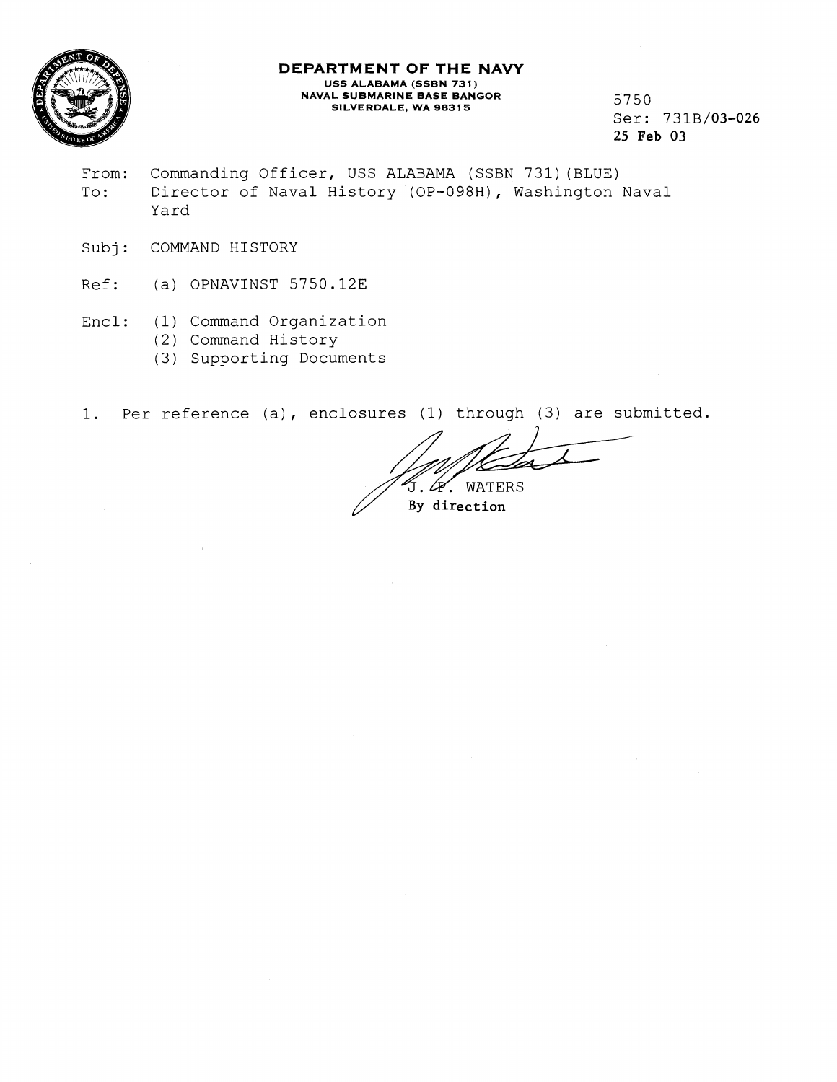

## **DEPARTMENT OF THE NAVY USS ALABAMA (SSBN 73 1** ) **NAVAL SUBMARINE BASE BANGOR L SUBMARINE BASE BANGOR**<br>**SILVERDALE, WA 98315 5750**

Ser: 731B/03-026 25 **Feb** 03

- From: Commanding Officer, USS ALABAMA (SSBN 731)(BLUE) To: Director of Naval History (OF-098H), Washington Naval Yard
- Subj: COMMAND HISTORY
- Ref: (a) OPNAVINST 5750.12E
- Encl: (1) Command Organization
	- (2) Command History
	- (3) Supporting Documents

1. Per reference (a), enclosures (1) through (3) are submitted.

J. G. WATERS

**By** direction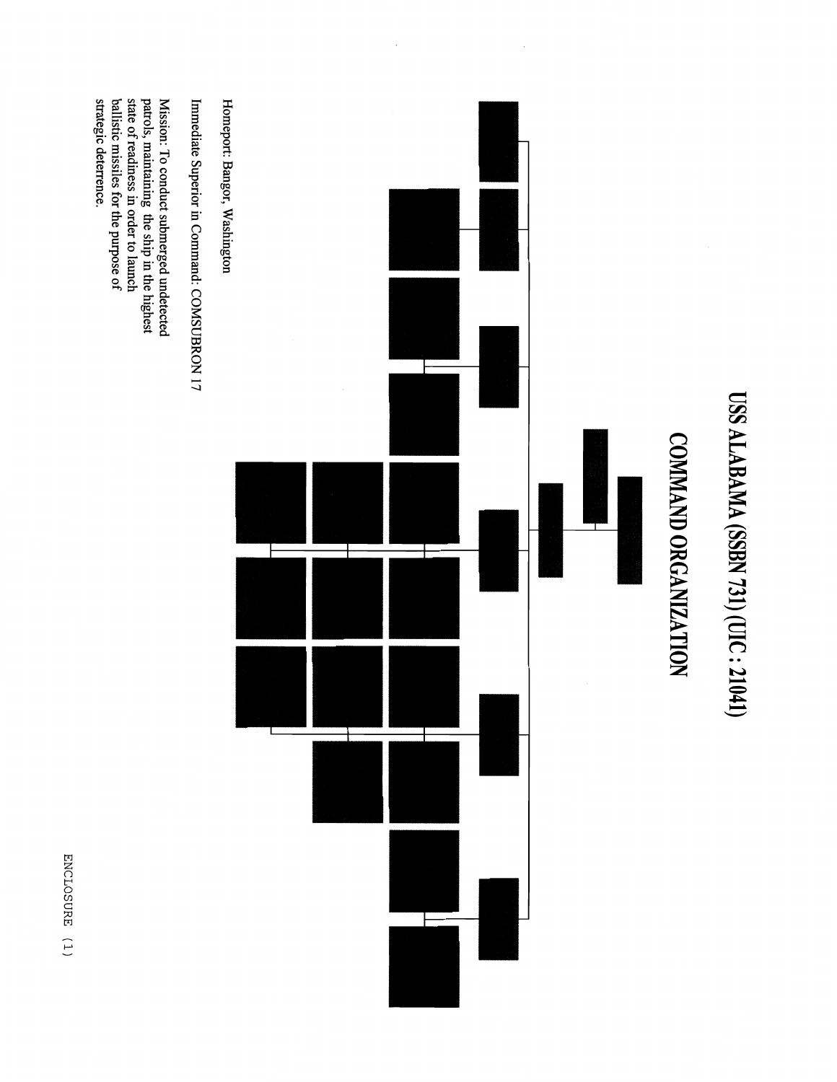

ENCLOSURE (1)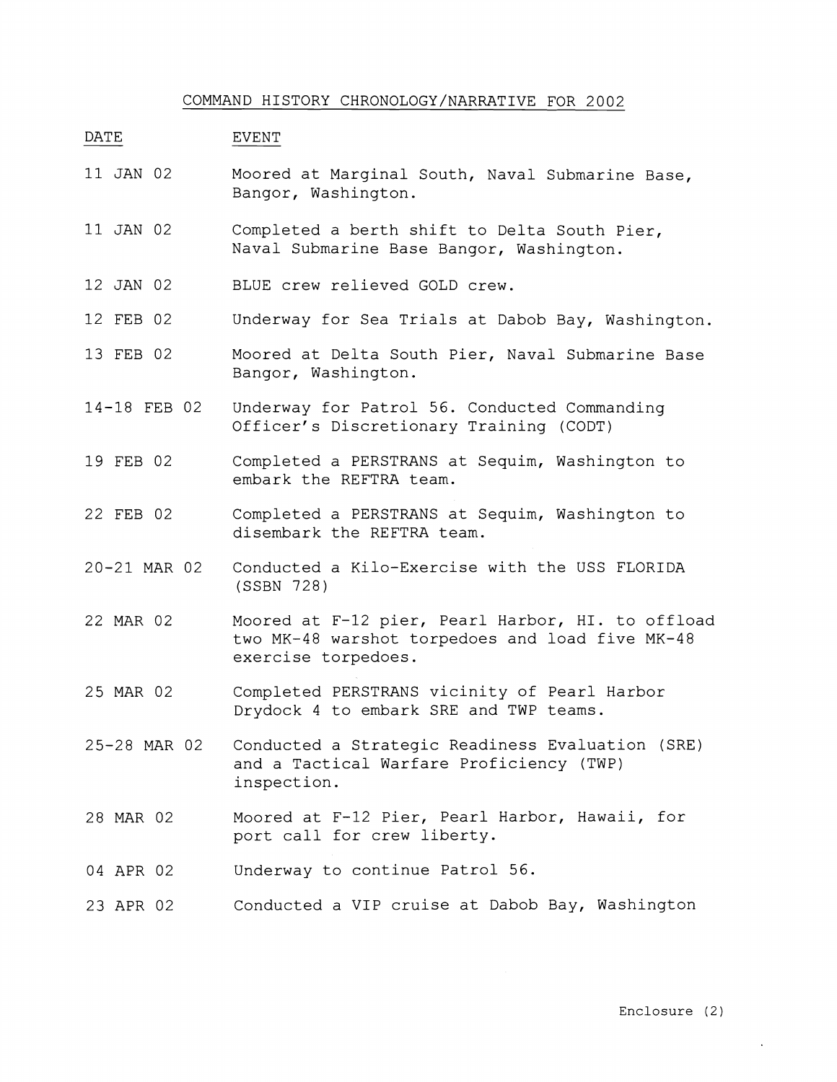## COMMAND HISTORY CHRONOLOGY/NARRATIVE FOR 2002

## DATE EVENT

- 11 JAN 02 Moored at Marginal South, Naval Submarine Base, Bangor, Washington.
- 11 JAN 02 Completed a berth shift to Delta South Pier, Naval Submarine Base Bangor, Washington.
- 12 JAN 02 BLUE crew relieved GOLD crew.
- 12 FEB 02 Underway for Sea Trials at Dabob Bay, Washington.
- 13 FEB 02 Moored at Delta South Pier, Naval Submarine Base Bangor, Washington.
- 14-18 FEB 02 Underway for Patrol 56. Conducted Commanding Officer's Discretionary Training (CODT)
- 19 FEB 02 Completed a PERSTRANS at Sequim, Washington to embark the REFTRA team.
- 22 FEB 02 Completed a PERSTRANS at Sequim, Washington to disembark the REFTRA team.
- 20-21 MAR 02 Conducted a Kilo-Exercise with the USS FLORIDA (SSBN 728)
- 22 MAR 02 Moored at F-12 pier, Pearl Harbor, HI. to offload two MK-48 warshot torpedoes and load five MK-48 exercise torpedoes.
- 25 MAR 02 Completed PERSTRANS vicinity of Pearl Harbor Drydock 4 to embark SRE and TWP teams.
- 25-28 MAR 02 Conducted a Strategic Readiness Evaluation (SRE) and a Tactical Warfare Proficiency (TWP) inspection.
- 28 MAR 02 Moored at F-12 Pier, Pearl Harbor, Hawaii, for port call for crew liberty.
- 04 APR 02 Underway to continue Patrol 56.
- 23 APR 02 Conducted a VIP cruise at Dabob Bay, Washington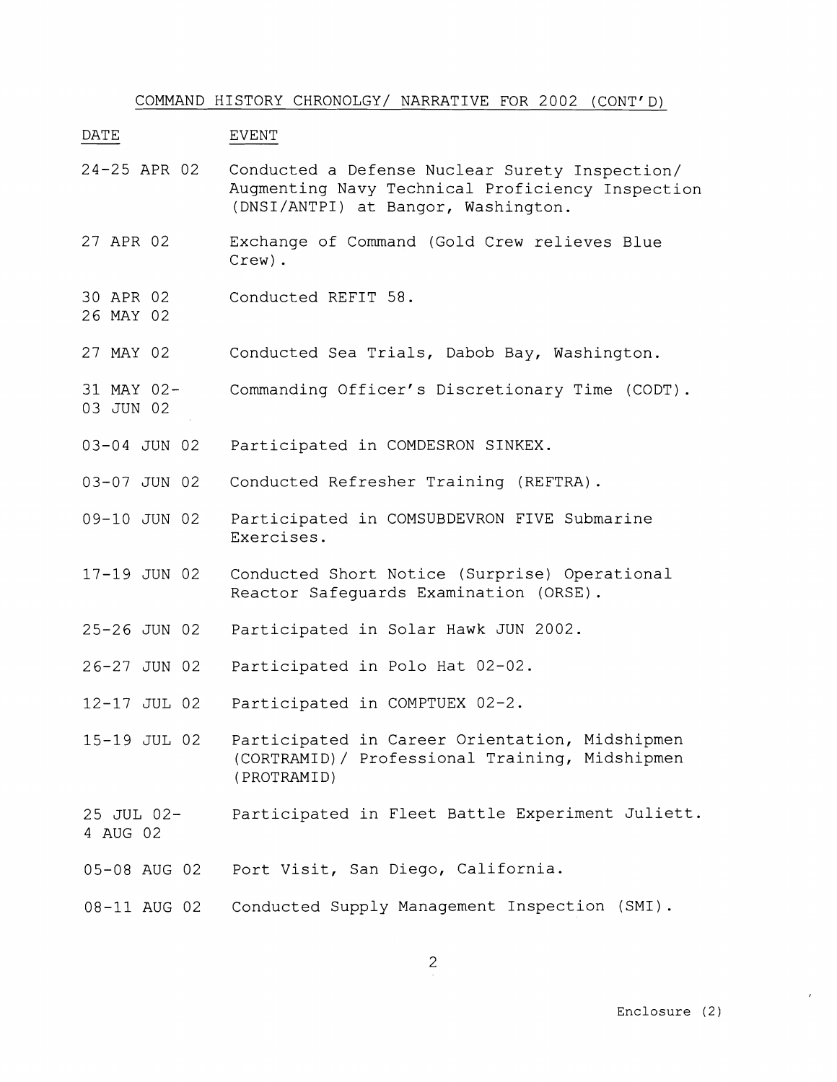COMMAND HISTORY CHRONOLGY/ NARRATIVE FOR 2002 (CONT'D)

DATE EVENT

- 24-25 APR 02 Conducted a Defense Nuclear Surety Inspection/ Augmenting Navy Technical Proficiency Inspection (DNSI/ANTPI) at Bangor, Washington.
- 27 APR 02 Exchange of Command (Gold Crew relieves Blue Crew) .
- 30 APR 02 Conducted REFIT 58.
- 26 MAY 02

03 JUN 02

- 27 MAY 02 Conducted Sea Trials, Dabob Bay, Washington.
- 31 MAY 02- Commanding Officer's Discretionary Time (CODT).
- 03-04 JUN 02 Participated in COMDESRON SINKEX.
- 03-07 JUN 02 Conducted Refresher Training (REFTRA) .
- 09-10 JUN 02 Participated in COMSUBDEVRON FIVE Submarine Exercises.
- 17-19 JUN 02 Conducted Short Notice (Surprise) Operational Reactor Safeguards Examination (ORSE).
- 25-26 JUN 02 Participated in Solar Hawk JUN 2002.
- 26-27 JUN 02 Participated in Polo Hat 02-02.
- 12-17 JUL 02 Participated in COMPTUEX 02-2.
- 15-19 JUL 02 Participated in Career Orientation, Midshipmen (CORTRAMID)/ Professional Training, Midshipmen (PROTRAMID)
- 25 JUL 02- 4 AUG 02 Participated in Fleet Battle Experiment Juliett.
- 05-08 AUG 02 Port Visit, San Diego, California.
- 08-11 AUG 02 Conducted Supply Management Inspection (SMI).